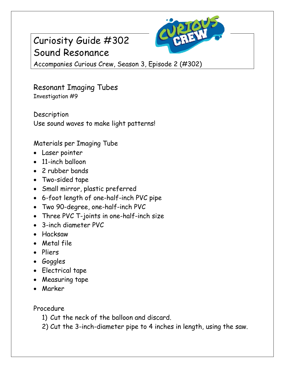## Curiosity Guide #302 Sound Resonance



Accompanies Curious Crew, Season 3, Episode 2 (#302)

## Resonant Imaging Tubes Investigation #9

Description Use sound waves to make light patterns!

Materials per Imaging Tube

- Laser pointer
- 11-inch balloon
- 2 rubber bands
- Two-sided tape
- Small mirror, plastic preferred
- 6-foot length of one-half-inch PVC pipe
- Two 90-degree, one-half-inch PVC
- Three PVC T-joints in one-half-inch size
- 3-inch diameter PVC
- Hacksaw
- Metal file
- Pliers
- Goggles
- Electrical tape
- Measuring tape
- Marker

Procedure

- 1) Cut the neck of the balloon and discard.
- 2) Cut the 3-inch-diameter pipe to 4 inches in length, using the saw.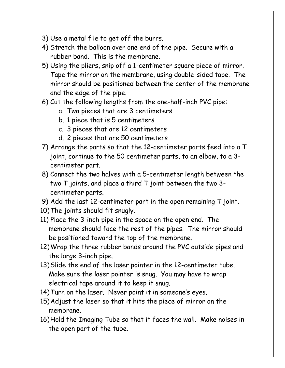- 3) Use a metal file to get off the burrs.
- 4) Stretch the balloon over one end of the pipe. Secure with a rubber band. This is the membrane.
- 5) Using the pliers, snip off a 1-centimeter square piece of mirror. Tape the mirror on the membrane, using double-sided tape. The mirror should be positioned between the center of the membrane and the edge of the pipe.
- 6) Cut the following lengths from the one-half-inch PVC pipe:
	- a. Two pieces that are 3 centimeters
	- b. 1 piece that is 5 centimeters
	- c. 3 pieces that are 12 centimeters
	- d. 2 pieces that are 50 centimeters
- 7) Arrange the parts so that the 12-centimeter parts feed into a T joint, continue to the 50 centimeter parts, to an elbow, to a 3 centimeter part.
- 8) Connect the two halves with a 5-centimeter length between the two T joints, and place a third T joint between the two 3 centimeter parts.
- 9) Add the last 12-centimeter part in the open remaining T joint.
- 10)The joints should fit snugly.
- 11) Place the 3-inch pipe in the space on the open end. The membrane should face the rest of the pipes. The mirror should be positioned toward the top of the membrane.
- 12)Wrap the three rubber bands around the PVC outside pipes and the large 3-inch pipe.
- 13)Slide the end of the laser pointer in the 12-centimeter tube. Make sure the laser pointer is snug. You may have to wrap electrical tape around it to keep it snug.
- 14)Turn on the laser. Never point it in someone's eyes.
- 15)Adjust the laser so that it hits the piece of mirror on the membrane.
- 16)Hold the Imaging Tube so that it faces the wall. Make noises in the open part of the tube.